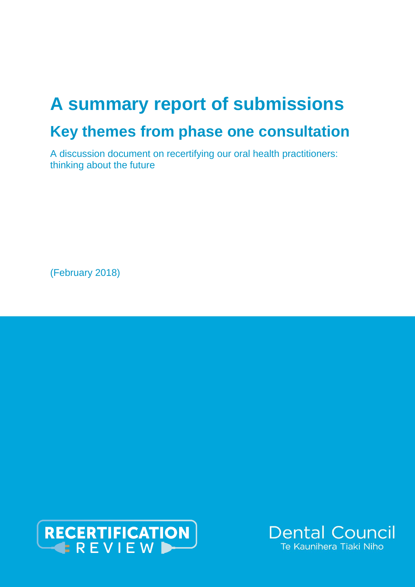# **A summary report of submissions Key themes from phase one consultation**

A discussion document on recertifying our oral health practitioners: thinking about the future

(February 2018)



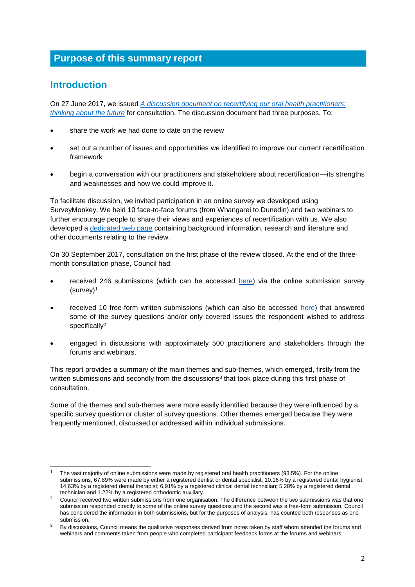# **Purpose of this summary report**

# **Introduction**

-

On 27 June 2017, we issued *A [discussion document on recertifying our oral health practitioners:](http://dcnz.org.nz/assets/Uploads/Recertification-review/FINAL-discussion-document-on-recertification-for-issue-27-June-2017.pdf)  [thinking about the future](http://dcnz.org.nz/assets/Uploads/Recertification-review/FINAL-discussion-document-on-recertification-for-issue-27-June-2017.pdf)* for consultation. The discussion document had three purposes. To:

- share the work we had done to date on the review
- set out a number of issues and opportunities we identified to improve our current recertification framework
- begin a conversation with our practitioners and stakeholders about recertification—its strengths and weaknesses and how we could improve it.

To facilitate discussion, we invited participation in an online survey we developed using SurveyMonkey. We held 10 face-to-face forums (from Whangarei to Dunedin) and two webinars to further encourage people to share their views and experiences of recertification with us. We also developed a [dedicated web page](http://dcnz.org.nz/i-practise-in-new-zealand/recertification-review/) containing background information, research and literature and other documents relating to the review.

On 30 September 2017, consultation on the first phase of the review closed. At the end of the threemonth consultation phase, Council had:

- received 246 submissions (which can be accessed [here\)](http://www.dcnz.org.nz/resources-and-publications/publications/closed-consultations/recertification-review-submissions/) via the online submission survey  $(surveV)^1$
- received 10 free-form written submissions (which can also be accessed [here\)](http://www.dcnz.org.nz/resources-and-publications/publications/closed-consultations/recertification-review-submissions/) that answered some of the survey questions and/or only covered issues the respondent wished to address specifically<sup>2</sup>
- engaged in discussions with approximately 500 practitioners and stakeholders through the forums and webinars.

This report provides a summary of the main themes and sub-themes, which emerged, firstly from the written submissions and secondly from the discussions $3$  that took place during this first phase of consultation.

Some of the themes and sub-themes were more easily identified because they were influenced by a specific survey question or cluster of survey questions. Other themes emerged because they were frequently mentioned, discussed or addressed within individual submissions.

The vast majority of online submissions were made by registered oral health practitioners (93.5%). For the online submissions, 67.89% were made by either a registered dentist or dental specialist; 10.16% by a registered dental hygienist; 14.63% by a registered dental therapist; 6.91% by a registered clinical dental technician; 5.28% by a registered dental technician and 1.22% by a registered orthodontic auxiliary.

<sup>&</sup>lt;sup>2</sup> Council received two written submissions from one organisation. The difference between the two submissions was that one submission responded directly to some of the online survey questions and the second was a free-form submission. Council has considered the information in both submissions, but for the purposes of analysis, has counted both responses as one submission.

 $3$  By discussions, Council means the qualitative responses derived from notes taken by staff whom attended the forums and webinars and comments taken from people who completed participant feedback forms at the forums and webinars.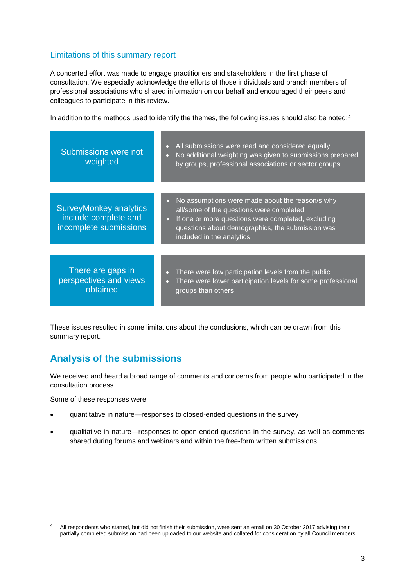## Limitations of this summary report

A concerted effort was made to engage practitioners and stakeholders in the first phase of consultation. We especially acknowledge the efforts of those individuals and branch members of professional associations who shared information on our behalf and encouraged their peers and colleagues to participate in this review.

In addition to the methods used to identify the themes, the following issues should also be noted:<sup>4</sup>

| Submissions were not<br>weighted                                                | All submissions were read and considered equally<br>$\bullet$<br>No additional weighting was given to submissions prepared<br>$\bullet$<br>by groups, professional associations or sector groups                                                |
|---------------------------------------------------------------------------------|-------------------------------------------------------------------------------------------------------------------------------------------------------------------------------------------------------------------------------------------------|
|                                                                                 |                                                                                                                                                                                                                                                 |
| <b>SurveyMonkey analytics</b><br>include complete and<br>incomplete submissions | No assumptions were made about the reason/s why<br>all/some of the questions were completed<br>If one or more questions were completed, excluding<br>$\bullet$<br>questions about demographics, the submission was<br>included in the analytics |
|                                                                                 |                                                                                                                                                                                                                                                 |
| There are gaps in<br>perspectives and views<br>obtained                         | There were low participation levels from the public<br>There were lower participation levels for some professional<br>groups than others                                                                                                        |

These issues resulted in some limitations about the conclusions, which can be drawn from this summary report.

# **Analysis of the submissions**

We received and heard a broad range of comments and concerns from people who participated in the consultation process.

Some of these responses were:

- quantitative in nature—responses to closed-ended questions in the survey
- qualitative in nature—responses to open-ended questions in the survey, as well as comments shared during forums and webinars and within the free-form written submissions.

 $\overline{4}$ <sup>4</sup> All respondents who started, but did not finish their submission, were sent an email on 30 October 2017 advising their partially completed submission had been uploaded to our website and collated for consideration by all Council members.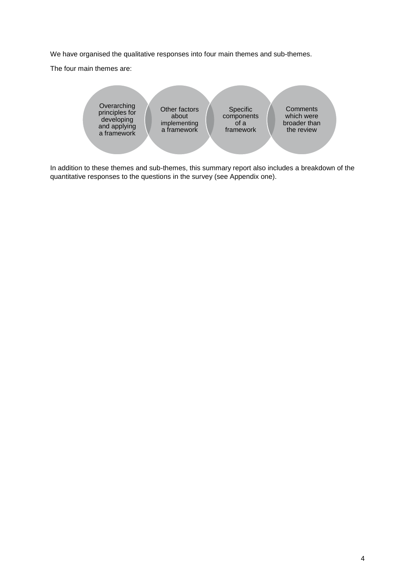We have organised the qualitative responses into four main themes and sub-themes.

The four main themes are:



In addition to these themes and sub-themes, this summary report also includes a breakdown of the quantitative responses to the questions in the survey (see Appendix one).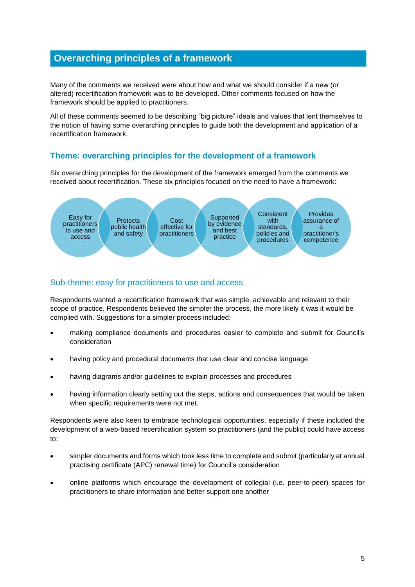# **Overarching principles of a framework**

Many of the comments we received were about how and what we should consider if a new (or altered) recertification framework was to be developed. Other comments focused on how the framework should be applied to practitioners.

All of these comments seemed to be describing "big picture" ideals and values that lent themselves to the notion of having some overarching principles to guide both the development and application of a recertification framework.

## **Theme: overarching principles for the development of a framework**

Six overarching principles for the development of the framework emerged from the comments we received about recertification. These six principles focused on the need to have a framework:



## Sub-theme: easy for practitioners to use and access

Respondents wanted a recertification framework that was simple, achievable and relevant to their scope of practice. Respondents believed the simpler the process, the more likely it was it would be complied with. Suggestions for a simpler process included:

- making compliance documents and procedures easier to complete and submit for Council's consideration
- having policy and procedural documents that use clear and concise language
- having diagrams and/or guidelines to explain processes and procedures
- having information clearly setting out the steps, actions and consequences that would be taken when specific requirements were not met.

Respondents were also keen to embrace technological opportunities, especially if these included the development of a web-based recertification system so practitioners (and the public) could have access to:

- simpler documents and forms which took less time to complete and submit (particularly at annual practising certificate (APC) renewal time) for Council's consideration
- online platforms which encourage the development of collegial (i.e. peer-to-peer) spaces for practitioners to share information and better support one another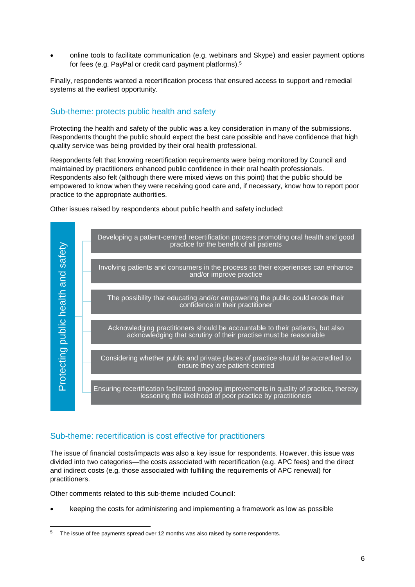online tools to facilitate communication (e.g. webinars and Skype) and easier payment options for fees (e.g. PayPal or credit card payment platforms).<sup>5</sup>

Finally, respondents wanted a recertification process that ensured access to support and remedial systems at the earliest opportunity.

#### Sub-theme: protects public health and safety

Protecting the health and safety of the public was a key consideration in many of the submissions. Respondents thought the public should expect the best care possible and have confidence that high quality service was being provided by their oral health professional.

Respondents felt that knowing recertification requirements were being monitored by Council and maintained by practitioners enhanced public confidence in their oral health professionals. Respondents also felt (although there were mixed views on this point) that the public should be empowered to know when they were receiving good care and, if necessary, know how to report poor practice to the appropriate authorities.

Other issues raised by respondents about public health and safety included:



#### Sub-theme: recertification is cost effective for practitioners

The issue of financial costs/impacts was also a key issue for respondents. However, this issue was divided into two categories—the costs associated with recertification (e.g. APC fees) and the direct and indirect costs (e.g. those associated with fulfilling the requirements of APC renewal) for practitioners.

Other comments related to this sub-theme included Council:

-

keeping the costs for administering and implementing a framework as low as possible

The issue of fee payments spread over 12 months was also raised by some respondents.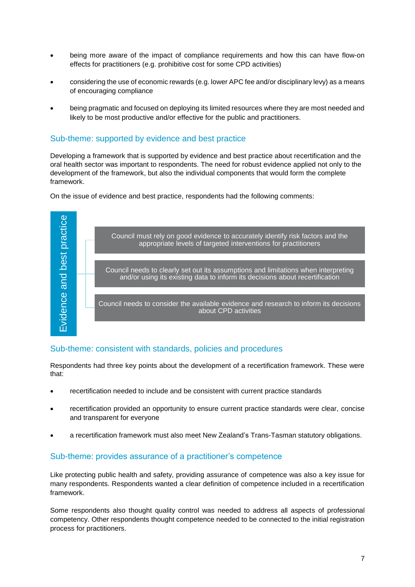- being more aware of the impact of compliance requirements and how this can have flow-on effects for practitioners (e.g. prohibitive cost for some CPD activities)
- considering the use of economic rewards (e.g. lower APC fee and/or disciplinary levy) as a means of encouraging compliance
- being pragmatic and focused on deploying its limited resources where they are most needed and likely to be most productive and/or effective for the public and practitioners.

#### Sub-theme: supported by evidence and best practice

Developing a framework that is supported by evidence and best practice about recertification and the oral health sector was important to respondents. The need for robust evidence applied not only to the development of the framework, but also the individual components that would form the complete framework.

On the issue of evidence and best practice, respondents had the following comments:



## Sub-theme: consistent with standards, policies and procedures

Respondents had three key points about the development of a recertification framework. These were that:

- recertification needed to include and be consistent with current practice standards
- recertification provided an opportunity to ensure current practice standards were clear, concise and transparent for everyone
- a recertification framework must also meet New Zealand's Trans-Tasman statutory obligations.

#### Sub-theme: provides assurance of a practitioner's competence

Like protecting public health and safety, providing assurance of competence was also a key issue for many respondents. Respondents wanted a clear definition of competence included in a recertification framework.

Some respondents also thought quality control was needed to address all aspects of professional competency. Other respondents thought competence needed to be connected to the initial registration process for practitioners.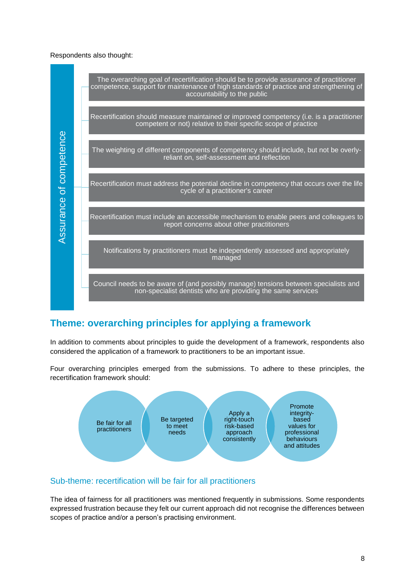#### Respondents also thought:



# **Theme: overarching principles for applying a framework**

In addition to comments about principles to guide the development of a framework, respondents also considered the application of a framework to practitioners to be an important issue.

Four overarching principles emerged from the submissions. To adhere to these principles, the recertification framework should:



## Sub-theme: recertification will be fair for all practitioners

The idea of fairness for all practitioners was mentioned frequently in submissions. Some respondents expressed frustration because they felt our current approach did not recognise the differences between scopes of practice and/or a person's practising environment.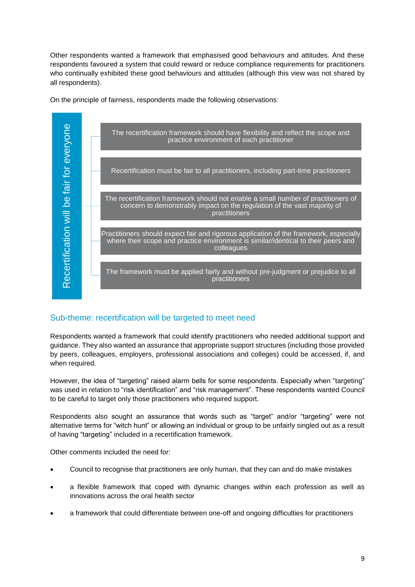Other respondents wanted a framework that emphasised good behaviours and attitudes. And these respondents favoured a system that could reward or reduce compliance requirements for practitioners who continually exhibited these good behaviours and attitudes (although this view was not shared by all respondents).

On the principle of fairness, respondents made the following observations:



## Sub-theme: recertification will be targeted to meet need

Respondents wanted a framework that could identify practitioners who needed additional support and guidance. They also wanted an assurance that appropriate support structures (including those provided by peers, colleagues, employers, professional associations and colleges) could be accessed, if, and when required.

However, the idea of "targeting" raised alarm bells for some respondents. Especially when "targeting" was used in relation to "risk identification" and "risk management". These respondents wanted Council to be careful to target only those practitioners who required support.

Respondents also sought an assurance that words such as "target" and/or "targeting" were not alternative terms for "witch hunt" or allowing an individual or group to be unfairly singled out as a result of having "targeting" included in a recertification framework.

Other comments included the need for:

- Council to recognise that practitioners are only human, that they can and do make mistakes
- a flexible framework that coped with dynamic changes within each profession as well as innovations across the oral health sector
- a framework that could differentiate between one-off and ongoing difficulties for practitioners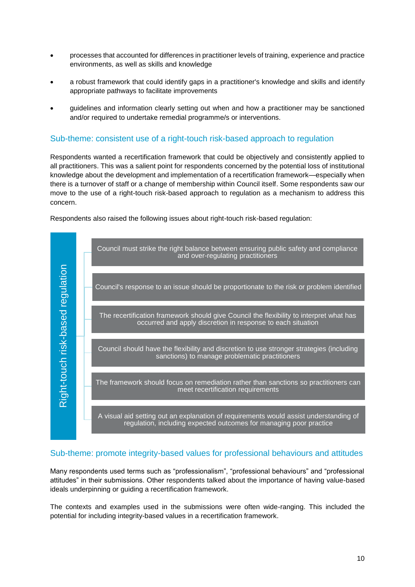- processes that accounted for differences in practitioner levels of training, experience and practice environments, as well as skills and knowledge
- a robust framework that could identify gaps in a practitioner's knowledge and skills and identify appropriate pathways to facilitate improvements
- guidelines and information clearly setting out when and how a practitioner may be sanctioned and/or required to undertake remedial programme/s or interventions.

#### Sub-theme: consistent use of a right-touch risk-based approach to regulation

Respondents wanted a recertification framework that could be objectively and consistently applied to all practitioners. This was a salient point for respondents concerned by the potential loss of institutional knowledge about the development and implementation of a recertification framework—especially when there is a turnover of staff or a change of membership within Council itself. Some respondents saw our move to the use of a right-touch risk-based approach to regulation as a mechanism to address this concern.

Respondents also raised the following issues about right-touch risk-based regulation:



#### Sub-theme: promote integrity-based values for professional behaviours and attitudes

Many respondents used terms such as "professionalism", "professional behaviours" and "professional attitudes" in their submissions. Other respondents talked about the importance of having value-based ideals underpinning or guiding a recertification framework.

The contexts and examples used in the submissions were often wide-ranging. This included the potential for including integrity-based values in a recertification framework.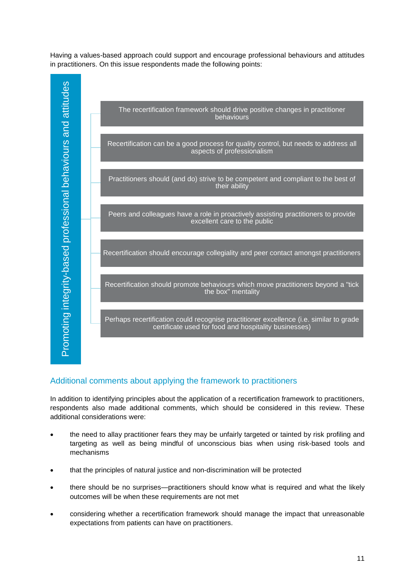Having a values-based approach could support and encourage professional behaviours and attitudes in practitioners. On this issue respondents made the following points:



## Additional comments about applying the framework to practitioners

In addition to identifying principles about the application of a recertification framework to practitioners, respondents also made additional comments, which should be considered in this review. These additional considerations were:

- the need to allay practitioner fears they may be unfairly targeted or tainted by risk profiling and targeting as well as being mindful of unconscious bias when using risk-based tools and mechanisms
- that the principles of natural justice and non-discrimination will be protected
- there should be no surprises—practitioners should know what is required and what the likely outcomes will be when these requirements are not met
- considering whether a recertification framework should manage the impact that unreasonable expectations from patients can have on practitioners.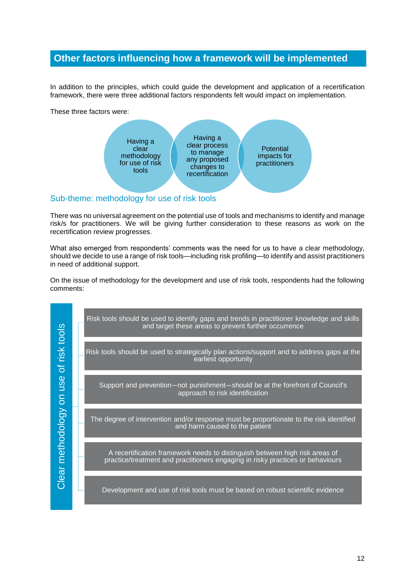# **Other factors influencing how a framework will be implemented**

In addition to the principles, which could guide the development and application of a recertification framework, there were three additional factors respondents felt would impact on implementation.

These three factors were:



#### Sub-theme: methodology for use of risk tools

There was no universal agreement on the potential use of tools and mechanisms to identify and manage risk/s for practitioners. We will be giving further consideration to these reasons as work on the recertification review progresses.

What also emerged from respondents' comments was the need for us to have a clear methodology, should we decide to use a range of risk tools—including risk profiling—to identify and assist practitioners in need of additional support.

On the issue of methodology for the development and use of risk tools, respondents had the following comments:

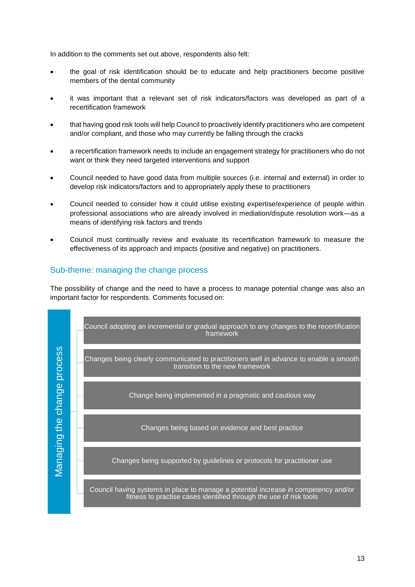In addition to the comments set out above, respondents also felt:

- the goal of risk identification should be to educate and help practitioners become positive members of the dental community
- it was important that a relevant set of risk indicators/factors was developed as part of a recertification framework
- that having good risk tools will help Council to proactively identify practitioners who are competent and/or compliant, and those who may currently be falling through the cracks
- a recertification framework needs to include an engagement strategy for practitioners who do not want or think they need targeted interventions and support
- Council needed to have good data from multiple sources (i.e. internal and external) in order to develop risk indicators/factors and to appropriately apply these to practitioners
- Council needed to consider how it could utilise existing expertise/experience of people within professional associations who are already involved in mediation/dispute resolution work—as a means of identifying risk factors and trends
- Council must continually review and evaluate its recertification framework to measure the effectiveness of its approach and impacts (positive and negative) on practitioners.

#### Sub-theme: managing the change process

The possibility of change and the need to have a process to manage potential change was also an important factor for respondents. Comments focused on:

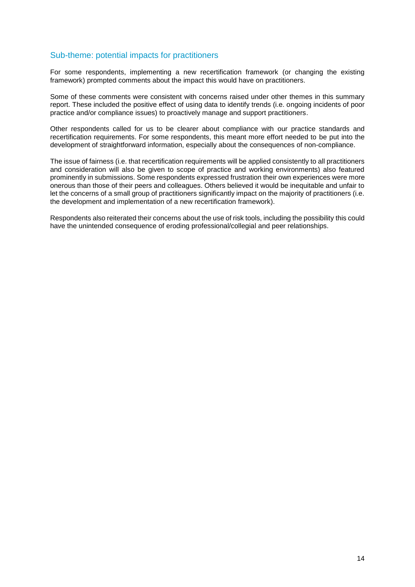#### Sub-theme: potential impacts for practitioners

For some respondents, implementing a new recertification framework (or changing the existing framework) prompted comments about the impact this would have on practitioners.

Some of these comments were consistent with concerns raised under other themes in this summary report. These included the positive effect of using data to identify trends (i.e. ongoing incidents of poor practice and/or compliance issues) to proactively manage and support practitioners.

Other respondents called for us to be clearer about compliance with our practice standards and recertification requirements. For some respondents, this meant more effort needed to be put into the development of straightforward information, especially about the consequences of non-compliance.

The issue of fairness (i.e. that recertification requirements will be applied consistently to all practitioners and consideration will also be given to scope of practice and working environments) also featured prominently in submissions. Some respondents expressed frustration their own experiences were more onerous than those of their peers and colleagues. Others believed it would be inequitable and unfair to let the concerns of a small group of practitioners significantly impact on the majority of practitioners (i.e. the development and implementation of a new recertification framework).

Respondents also reiterated their concerns about the use of risk tools, including the possibility this could have the unintended consequence of eroding professional/collegial and peer relationships.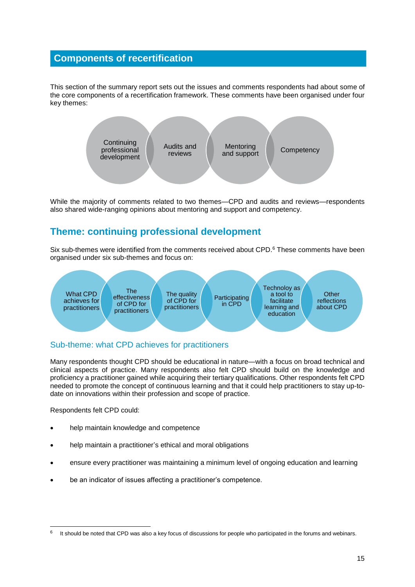# **Components of recertification**

This section of the summary report sets out the issues and comments respondents had about some of the core components of a recertification framework. These comments have been organised under four key themes:



While the majority of comments related to two themes—CPD and audits and reviews—respondents also shared wide-ranging opinions about mentoring and support and competency.

# **Theme: continuing professional development**

Six sub-themes were identified from the comments received about CPD.<sup>6</sup> These comments have been organised under six sub-themes and focus on:



## Sub-theme: what CPD achieves for practitioners

Many respondents thought CPD should be educational in nature—with a focus on broad technical and clinical aspects of practice. Many respondents also felt CPD should build on the knowledge and proficiency a practitioner gained while acquiring their tertiary qualifications. Other respondents felt CPD needed to promote the concept of continuous learning and that it could help practitioners to stay up-todate on innovations within their profession and scope of practice.

Respondents felt CPD could:

- help maintain knowledge and competence
- help maintain a practitioner's ethical and moral obligations
- ensure every practitioner was maintaining a minimum level of ongoing education and learning
- be an indicator of issues affecting a practitioner's competence.

<sup>6</sup> It should be noted that CPD was also a key focus of discussions for people who participated in the forums and webinars.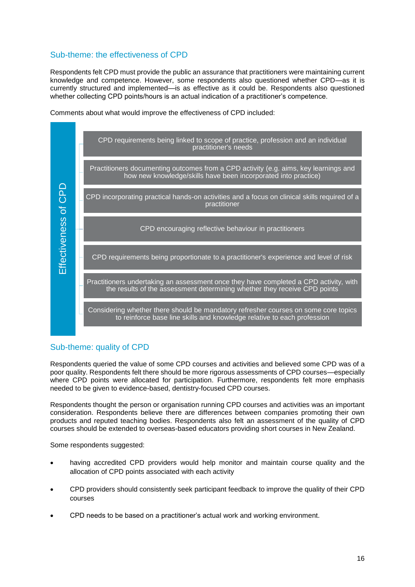## Sub-theme: the effectiveness of CPD

Respondents felt CPD must provide the public an assurance that practitioners were maintaining current knowledge and competence. However, some respondents also questioned whether CPD—as it is currently structured and implemented—is as effective as it could be. Respondents also questioned whether collecting CPD points/hours is an actual indication of a practitioner's competence.

Comments about what would improve the effectiveness of CPD included:



## Sub-theme: quality of CPD

Respondents queried the value of some CPD courses and activities and believed some CPD was of a poor quality. Respondents felt there should be more rigorous assessments of CPD courses—especially where CPD points were allocated for participation. Furthermore, respondents felt more emphasis needed to be given to evidence-based, dentistry-focused CPD courses.

Respondents thought the person or organisation running CPD courses and activities was an important consideration. Respondents believe there are differences between companies promoting their own products and reputed teaching bodies. Respondents also felt an assessment of the quality of CPD courses should be extended to overseas-based educators providing short courses in New Zealand.

Some respondents suggested:

- having accredited CPD providers would help monitor and maintain course quality and the allocation of CPD points associated with each activity
- CPD providers should consistently seek participant feedback to improve the quality of their CPD courses
- CPD needs to be based on a practitioner's actual work and working environment.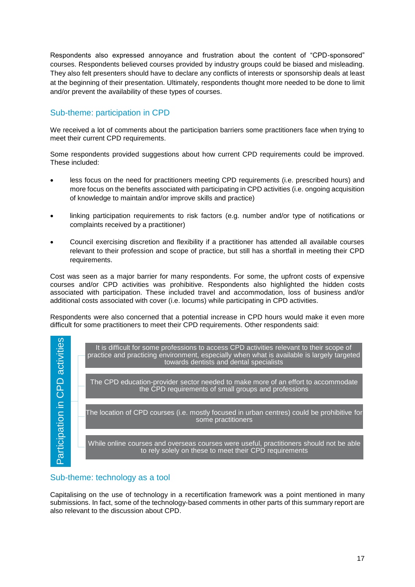Respondents also expressed annoyance and frustration about the content of "CPD-sponsored" courses. Respondents believed courses provided by industry groups could be biased and misleading. They also felt presenters should have to declare any conflicts of interests or sponsorship deals at least at the beginning of their presentation. Ultimately, respondents thought more needed to be done to limit and/or prevent the availability of these types of courses.

## Sub-theme: participation in CPD

We received a lot of comments about the participation barriers some practitioners face when trying to meet their current CPD requirements.

Some respondents provided suggestions about how current CPD requirements could be improved. These included:

- less focus on the need for practitioners meeting CPD requirements (i.e. prescribed hours) and more focus on the benefits associated with participating in CPD activities (i.e. ongoing acquisition of knowledge to maintain and/or improve skills and practice)
- linking participation requirements to risk factors (e.g. number and/or type of notifications or complaints received by a practitioner)
- Council exercising discretion and flexibility if a practitioner has attended all available courses relevant to their profession and scope of practice, but still has a shortfall in meeting their CPD requirements.

Cost was seen as a major barrier for many respondents. For some, the upfront costs of expensive courses and/or CPD activities was prohibitive. Respondents also highlighted the hidden costs associated with participation. These included travel and accommodation, loss of business and/or additional costs associated with cover (i.e. locums) while participating in CPD activities.

Respondents were also concerned that a potential increase in CPD hours would make it even more difficult for some practitioners to meet their CPD requirements. Other respondents said:



#### Sub-theme: technology as a tool

Capitalising on the use of technology in a recertification framework was a point mentioned in many submissions. In fact, some of the technology-based comments in other parts of this summary report are also relevant to the discussion about CPD.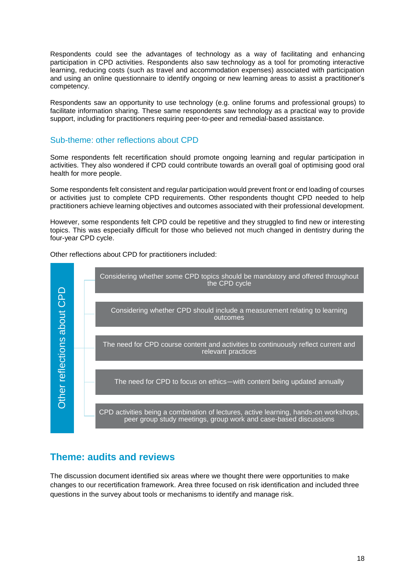Respondents could see the advantages of technology as a way of facilitating and enhancing participation in CPD activities. Respondents also saw technology as a tool for promoting interactive learning, reducing costs (such as travel and accommodation expenses) associated with participation and using an online questionnaire to identify ongoing or new learning areas to assist a practitioner's competency.

Respondents saw an opportunity to use technology (e.g. online forums and professional groups) to facilitate information sharing. These same respondents saw technology as a practical way to provide support, including for practitioners requiring peer-to-peer and remedial-based assistance.

#### Sub-theme: other reflections about CPD

Some respondents felt recertification should promote ongoing learning and regular participation in activities. They also wondered if CPD could contribute towards an overall goal of optimising good oral health for more people.

Some respondents felt consistent and regular participation would prevent front or end loading of courses or activities just to complete CPD requirements. Other respondents thought CPD needed to help practitioners achieve learning objectives and outcomes associated with their professional development.

However, some respondents felt CPD could be repetitive and they struggled to find new or interesting topics. This was especially difficult for those who believed not much changed in dentistry during the four-year CPD cycle.

Other reflections about CPD for practitioners included:



# **Theme: audits and reviews**

The discussion document identified six areas where we thought there were opportunities to make changes to our recertification framework. Area three focused on risk identification and included three questions in the survey about tools or mechanisms to identify and manage risk.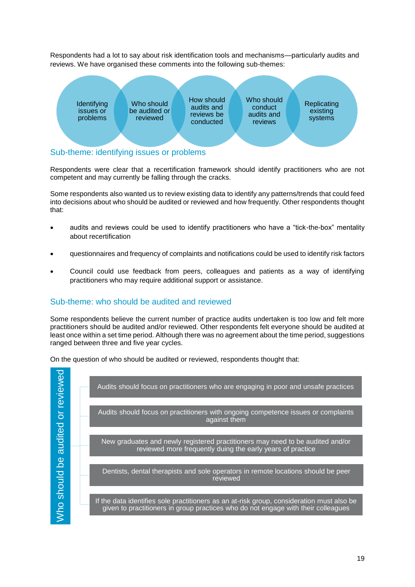Respondents had a lot to say about risk identification tools and mechanisms—particularly audits and reviews. We have organised these comments into the following sub-themes:



# Sub-theme: identifying issues or problems

Respondents were clear that a recertification framework should identify practitioners who are not competent and may currently be falling through the cracks.

Some respondents also wanted us to review existing data to identify any patterns/trends that could feed into decisions about who should be audited or reviewed and how frequently. Other respondents thought that:

- audits and reviews could be used to identify practitioners who have a "tick-the-box" mentality about recertification
- questionnaires and frequency of complaints and notifications could be used to identify risk factors
- Council could use feedback from peers, colleagues and patients as a way of identifying practitioners who may require additional support or assistance.

## Sub-theme: who should be audited and reviewed

Some respondents believe the current number of practice audits undertaken is too low and felt more practitioners should be audited and/or reviewed. Other respondents felt everyone should be audited at least once within a set time period. Although there was no agreement about the time period, suggestions ranged between three and five year cycles.

On the question of who should be audited or reviewed, respondents thought that:

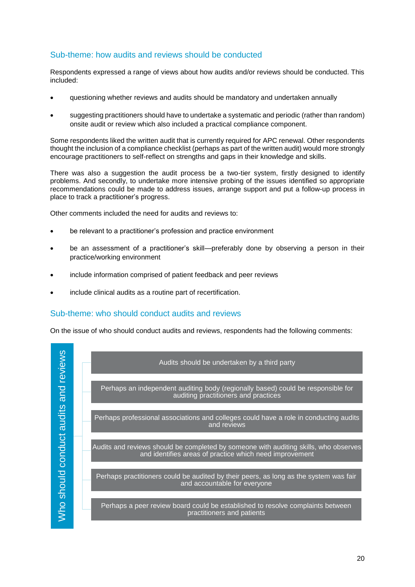## Sub-theme: how audits and reviews should be conducted

Respondents expressed a range of views about how audits and/or reviews should be conducted. This included:

- questioning whether reviews and audits should be mandatory and undertaken annually
- suggesting practitioners should have to undertake a systematic and periodic (rather than random) onsite audit or review which also included a practical compliance component.

Some respondents liked the written audit that is currently required for APC renewal. Other respondents thought the inclusion of a compliance checklist (perhaps as part of the written audit) would more strongly encourage practitioners to self-reflect on strengths and gaps in their knowledge and skills.

There was also a suggestion the audit process be a two-tier system, firstly designed to identify problems. And secondly, to undertake more intensive probing of the issues identified so appropriate recommendations could be made to address issues, arrange support and put a follow-up process in place to track a practitioner's progress.

Other comments included the need for audits and reviews to:

- be relevant to a practitioner's profession and practice environment
- be an assessment of a practitioner's skill—preferably done by observing a person in their practice/working environment
- include information comprised of patient feedback and peer reviews
- include clinical audits as a routine part of recertification.

## Sub-theme: who should conduct audits and reviews

On the issue of who should conduct audits and reviews, respondents had the following comments:

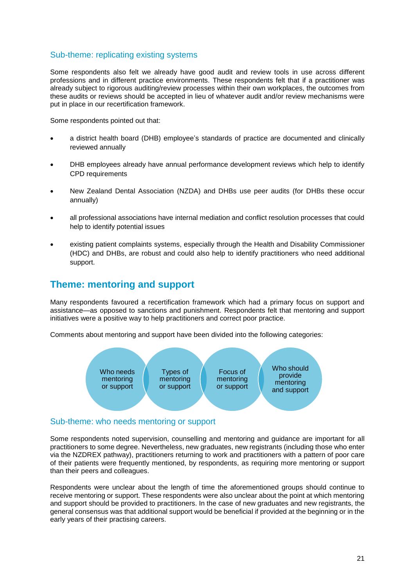#### Sub-theme: replicating existing systems

Some respondents also felt we already have good audit and review tools in use across different professions and in different practice environments. These respondents felt that if a practitioner was already subject to rigorous auditing/review processes within their own workplaces, the outcomes from these audits or reviews should be accepted in lieu of whatever audit and/or review mechanisms were put in place in our recertification framework.

Some respondents pointed out that:

- a district health board (DHB) employee's standards of practice are documented and clinically reviewed annually
- DHB employees already have annual performance development reviews which help to identify CPD requirements
- New Zealand Dental Association (NZDA) and DHBs use peer audits (for DHBs these occur annually)
- all professional associations have internal mediation and conflict resolution processes that could help to identify potential issues
- existing patient complaints systems, especially through the Health and Disability Commissioner (HDC) and DHBs, are robust and could also help to identify practitioners who need additional support.

# **Theme: mentoring and support**

Many respondents favoured a recertification framework which had a primary focus on support and assistance—as opposed to sanctions and punishment. Respondents felt that mentoring and support initiatives were a positive way to help practitioners and correct poor practice.

Comments about mentoring and support have been divided into the following categories:



#### Sub-theme: who needs mentoring or support

Some respondents noted supervision, counselling and mentoring and guidance are important for all practitioners to some degree. Nevertheless, new graduates, new registrants (including those who enter via the NZDREX pathway), practitioners returning to work and practitioners with a pattern of poor care of their patients were frequently mentioned, by respondents, as requiring more mentoring or support than their peers and colleagues.

Respondents were unclear about the length of time the aforementioned groups should continue to receive mentoring or support. These respondents were also unclear about the point at which mentoring and support should be provided to practitioners. In the case of new graduates and new registrants, the general consensus was that additional support would be beneficial if provided at the beginning or in the early years of their practising careers.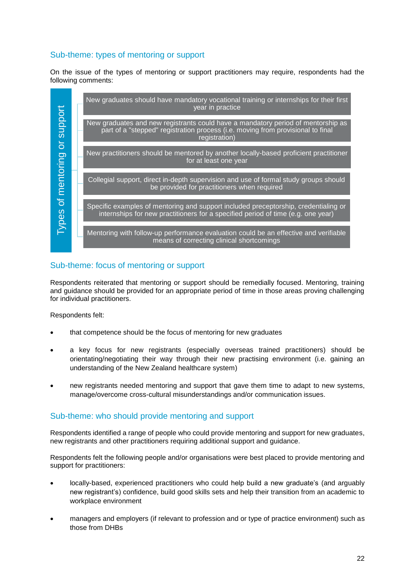## Sub-theme: types of mentoring or support

On the issue of the types of mentoring or support practitioners may require, respondents had the following comments:



## Sub-theme: focus of mentoring or support

Respondents reiterated that mentoring or support should be remedially focused. Mentoring, training and guidance should be provided for an appropriate period of time in those areas proving challenging for individual practitioners.

Respondents felt:

- that competence should be the focus of mentoring for new graduates
- a key focus for new registrants (especially overseas trained practitioners) should be orientating/negotiating their way through their new practising environment (i.e. gaining an understanding of the New Zealand healthcare system)
- new registrants needed mentoring and support that gave them time to adapt to new systems, manage/overcome cross-cultural misunderstandings and/or communication issues.

## Sub-theme: who should provide mentoring and support

Respondents identified a range of people who could provide mentoring and support for new graduates, new registrants and other practitioners requiring additional support and guidance.

Respondents felt the following people and/or organisations were best placed to provide mentoring and support for practitioners:

- locally-based, experienced practitioners who could help build a new graduate's (and arguably new registrant's) confidence, build good skills sets and help their transition from an academic to workplace environment
- managers and employers (if relevant to profession and or type of practice environment) such as those from DHBs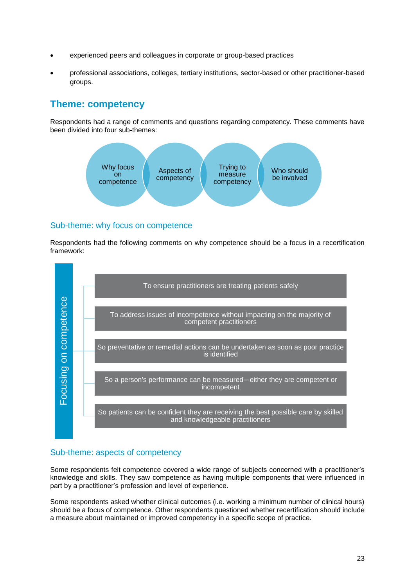- experienced peers and colleagues in corporate or group-based practices
- professional associations, colleges, tertiary institutions, sector-based or other practitioner-based groups.

# **Theme: competency**

Respondents had a range of comments and questions regarding competency. These comments have been divided into four sub-themes:



## Sub-theme: why focus on competence

Respondents had the following comments on why competence should be a focus in a recertification framework:



## Sub-theme: aspects of competency

Some respondents felt competence covered a wide range of subjects concerned with a practitioner's knowledge and skills. They saw competence as having multiple components that were influenced in part by a practitioner's profession and level of experience.

Some respondents asked whether clinical outcomes (i.e. working a minimum number of clinical hours) should be a focus of competence. Other respondents questioned whether recertification should include a measure about maintained or improved competency in a specific scope of practice.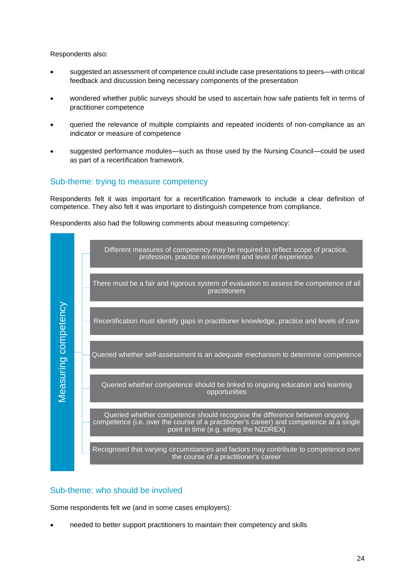Respondents also:

- suggested an assessment of competence could include case presentations to peers—with critical feedback and discussion being necessary components of the presentation
- wondered whether public surveys should be used to ascertain how safe patients felt in terms of practitioner competence
- queried the relevance of multiple complaints and repeated incidents of non-compliance as an indicator or measure of competence
- suggested performance modules—such as those used by the Nursing Council—could be used as part of a recertification framework.

#### Sub-theme: trying to measure competency

Respondents felt it was important for a recertification framework to include a clear definition of competence. They also felt it was important to distinguish competence from compliance.

Respondents also had the following comments about measuring competency:



#### Sub-theme: who should be involved

Some respondents felt we (and in some cases employers):

needed to better support practitioners to maintain their competency and skills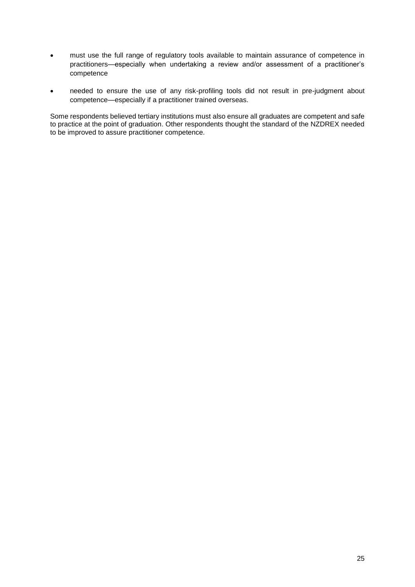- must use the full range of regulatory tools available to maintain assurance of competence in practitioners—especially when undertaking a review and/or assessment of a practitioner's competence
- needed to ensure the use of any risk-profiling tools did not result in pre-judgment about competence—especially if a practitioner trained overseas.

Some respondents believed tertiary institutions must also ensure all graduates are competent and safe to practice at the point of graduation. Other respondents thought the standard of the NZDREX needed to be improved to assure practitioner competence.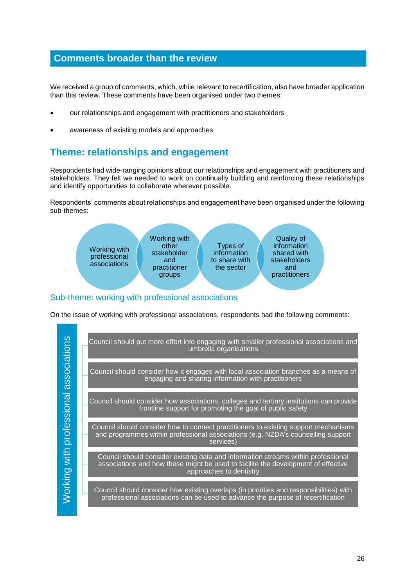## **Comments broader than the review**

We received a group of comments, which, while relevant to recertification, also have broader application than this review. These comments have been organised under two themes:

- our relationships and engagement with practitioners and stakeholders
- awareness of existing models and approaches

# **Theme: relationships and engagement**

Respondents had wide-ranging opinions about our relationships and engagement with practitioners and stakeholders. They felt we needed to work on continually building and reinforcing these relationships and identify opportunities to collaborate wherever possible.

Respondents' comments about relationships and engagement have been organised under the following sub-themes:



#### Sub-theme: working with professional associations

On the issue of working with professional associations, respondents had the following comments:

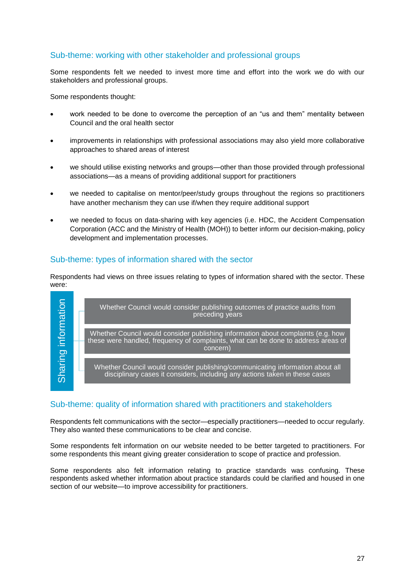## Sub-theme: working with other stakeholder and professional groups

Some respondents felt we needed to invest more time and effort into the work we do with our stakeholders and professional groups.

Some respondents thought:

- work needed to be done to overcome the perception of an "us and them" mentality between Council and the oral health sector
- improvements in relationships with professional associations may also yield more collaborative approaches to shared areas of interest
- we should utilise existing networks and groups—other than those provided through professional associations—as a means of providing additional support for practitioners
- we needed to capitalise on mentor/peer/study groups throughout the regions so practitioners have another mechanism they can use if/when they require additional support
- we needed to focus on data-sharing with key agencies (i.e. HDC, the Accident Compensation Corporation (ACC and the Ministry of Health (MOH)) to better inform our decision-making, policy development and implementation processes.

#### Sub-theme: types of information shared with the sector

Respondents had views on three issues relating to types of information shared with the sector. These were:



#### Sub-theme: quality of information shared with practitioners and stakeholders

Respondents felt communications with the sector—especially practitioners—needed to occur regularly. They also wanted these communications to be clear and concise.

Some respondents felt information on our website needed to be better targeted to practitioners. For some respondents this meant giving greater consideration to scope of practice and profession.

Some respondents also felt information relating to practice standards was confusing. These respondents asked whether information about practice standards could be clarified and housed in one section of our website—to improve accessibility for practitioners.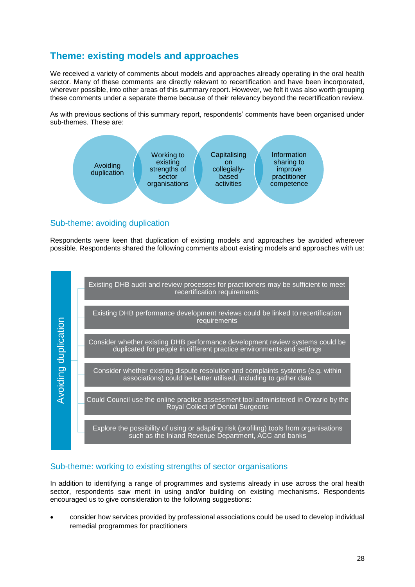# **Theme: existing models and approaches**

We received a variety of comments about models and approaches already operating in the oral health sector. Many of these comments are directly relevant to recertification and have been incorporated, wherever possible, into other areas of this summary report. However, we felt it was also worth grouping these comments under a separate theme because of their relevancy beyond the recertification review.

As with previous sections of this summary report, respondents' comments have been organised under sub-themes. These are:



## Sub-theme: avoiding duplication

Respondents were keen that duplication of existing models and approaches be avoided wherever possible. Respondents shared the following comments about existing models and approaches with us:



## Sub-theme: working to existing strengths of sector organisations

In addition to identifying a range of programmes and systems already in use across the oral health sector, respondents saw merit in using and/or building on existing mechanisms. Respondents encouraged us to give consideration to the following suggestions:

 consider how services provided by professional associations could be used to develop individual remedial programmes for practitioners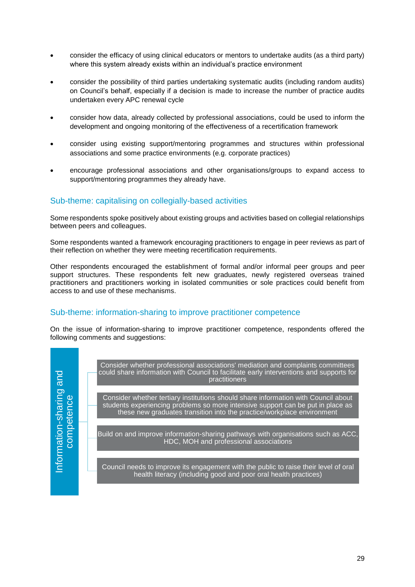- consider the efficacy of using clinical educators or mentors to undertake audits (as a third party) where this system already exists within an individual's practice environment
- consider the possibility of third parties undertaking systematic audits (including random audits) on Council's behalf, especially if a decision is made to increase the number of practice audits undertaken every APC renewal cycle
- consider how data, already collected by professional associations, could be used to inform the development and ongoing monitoring of the effectiveness of a recertification framework
- consider using existing support/mentoring programmes and structures within professional associations and some practice environments (e.g. corporate practices)
- encourage professional associations and other organisations/groups to expand access to support/mentoring programmes they already have.

## Sub-theme: capitalising on collegially-based activities

Some respondents spoke positively about existing groups and activities based on collegial relationships between peers and colleagues.

Some respondents wanted a framework encouraging practitioners to engage in peer reviews as part of their reflection on whether they were meeting recertification requirements.

Other respondents encouraged the establishment of formal and/or informal peer groups and peer support structures. These respondents felt new graduates, newly registered overseas trained practitioners and practitioners working in isolated communities or sole practices could benefit from access to and use of these mechanisms.

#### Sub-theme: information-sharing to improve practitioner competence

On the issue of information-sharing to improve practitioner competence, respondents offered the following comments and suggestions:

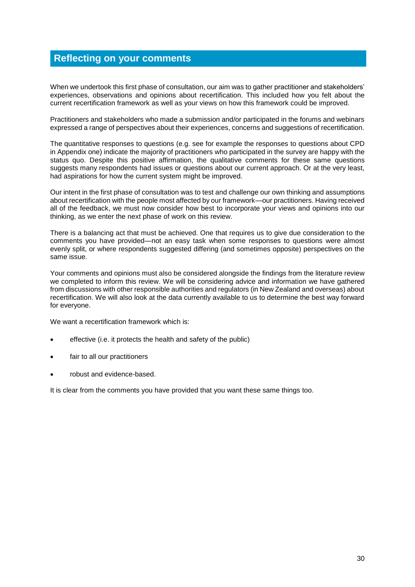# **Reflecting on your comments**

When we undertook this first phase of consultation, our aim was to gather practitioner and stakeholders' experiences, observations and opinions about recertification. This included how you felt about the current recertification framework as well as your views on how this framework could be improved.

Practitioners and stakeholders who made a submission and/or participated in the forums and webinars expressed a range of perspectives about their experiences, concerns and suggestions of recertification.

The quantitative responses to questions (e.g. see for example the responses to questions about CPD in Appendix one) indicate the majority of practitioners who participated in the survey are happy with the status quo. Despite this positive affirmation, the qualitative comments for these same questions suggests many respondents had issues or questions about our current approach. Or at the very least, had aspirations for how the current system might be improved.

Our intent in the first phase of consultation was to test and challenge our own thinking and assumptions about recertification with the people most affected by our framework—our practitioners. Having received all of the feedback, we must now consider how best to incorporate your views and opinions into our thinking, as we enter the next phase of work on this review.

There is a balancing act that must be achieved. One that requires us to give due consideration to the comments you have provided—not an easy task when some responses to questions were almost evenly split, or where respondents suggested differing (and sometimes opposite) perspectives on the same issue.

Your comments and opinions must also be considered alongside the findings from the literature review we completed to inform this review. We will be considering advice and information we have gathered from discussions with other responsible authorities and regulators (in New Zealand and overseas) about recertification. We will also look at the data currently available to us to determine the best way forward for everyone.

We want a recertification framework which is:

- effective (i.e. it protects the health and safety of the public)
- fair to all our practitioners
- robust and evidence-based.

It is clear from the comments you have provided that you want these same things too.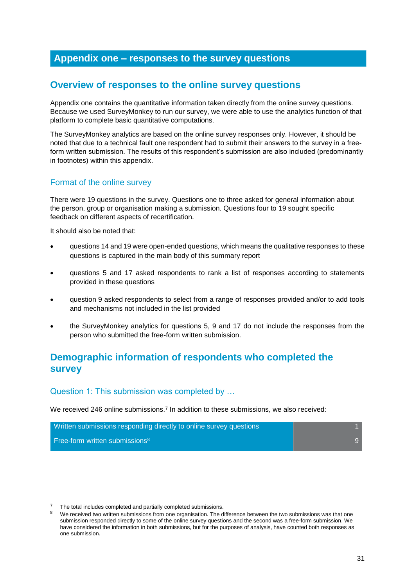# **Appendix one – responses to the survey questions**

## **Overview of responses to the online survey questions**

Appendix one contains the quantitative information taken directly from the online survey questions. Because we used SurveyMonkey to run our survey, we were able to use the analytics function of that platform to complete basic quantitative computations.

The SurveyMonkey analytics are based on the online survey responses only. However, it should be noted that due to a technical fault one respondent had to submit their answers to the survey in a freeform written submission. The results of this respondent's submission are also included (predominantly in footnotes) within this appendix.

## Format of the online survey

There were 19 questions in the survey. Questions one to three asked for general information about the person, group or organisation making a submission. Questions four to 19 sought specific feedback on different aspects of recertification.

It should also be noted that:

- questions 14 and 19 were open-ended questions, which means the qualitative responses to these questions is captured in the main body of this summary report
- questions 5 and 17 asked respondents to rank a list of responses according to statements provided in these questions
- question 9 asked respondents to select from a range of responses provided and/or to add tools and mechanisms not included in the list provided
- the SurveyMonkey analytics for questions 5, 9 and 17 do not include the responses from the person who submitted the free-form written submission.

# **Demographic information of respondents who completed the survey**

#### Question 1: This submission was completed by …

We received 246 online submissions.<sup>7</sup> In addition to these submissions, we also received:



The total includes completed and partially completed submissions.

We received two written submissions from one organisation. The difference between the two submissions was that one submission responded directly to some of the online survey questions and the second was a free-form submission. We have considered the information in both submissions, but for the purposes of analysis, have counted both responses as one submission.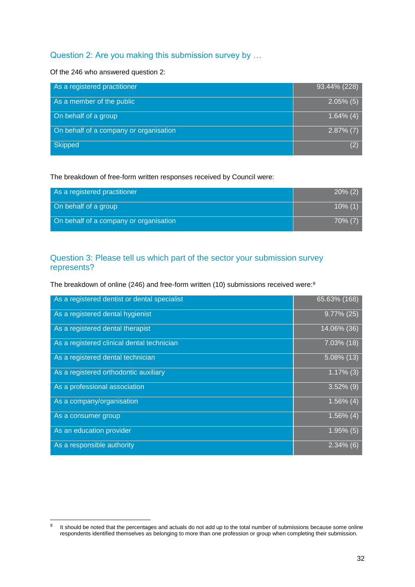## Question 2: Are you making this submission survey by …

#### Of the 246 who answered question 2:

| As a registered practitioner           | 93.44% (228)  |
|----------------------------------------|---------------|
| As a member of the public              | $2.05\%$ (5)  |
| On behalf of a group                   | $(4.64\%)(4)$ |
| On behalf of a company or organisation | $2.87\%$ (7)  |
| <b>Skipped</b>                         | (2)           |

#### The breakdown of free-form written responses received by Council were:

| As a registered practitioner           | $20\%$ (2) |
|----------------------------------------|------------|
| On behalf of a group                   | $10\%$ (1) |
| On behalf of a company or organisation | 70% (7)    |

## Question 3: Please tell us which part of the sector your submission survey represents?

The breakdown of online (246) and free-form written (10) submissions received were:<sup>9</sup>

| As a registered dentist or dental specialist | 65.63% (168)   |
|----------------------------------------------|----------------|
| As a registered dental hygienist             | $9.77\%$ (25)  |
| As a registered dental therapist             | $14.06\%$ (36) |
| As a registered clinical dental technician   | 7.03% (18)     |
| As a registered dental technician            | $5.08\%$ (13)  |
| As a registered orthodontic auxiliary        | $1.17\%$ (3)   |
| As a professional association                | $3.52\%$ (9)   |
| As a company/organisation                    | $1.56\%$ (4)   |
| As a consumer group                          | $1.56\%$ (4)   |
| As an education provider                     | $1.95\%$ (5)   |
| As a responsible authority                   | $2.34\%$ (6)   |

<sup>–&</sup>lt;br>9 It should be noted that the percentages and actuals do not add up to the total number of submissions because some online respondents identified themselves as belonging to more than one profession or group when completing their submission.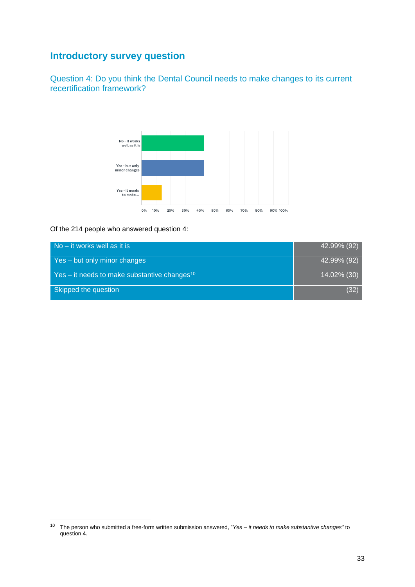# **Introductory survey question**

Question 4: Do you think the Dental Council needs to make changes to its current recertification framework?



Of the 214 people who answered question 4:

| $\sqrt{N}$ No – it works well as it is                   | 42.99% (92) |
|----------------------------------------------------------|-------------|
| Yes – but only minor changes                             | 42.99% (92) |
| Yes – it needs to make substantive changes <sup>10</sup> | 14.02% (30) |
| Skipped the question                                     | (32)        |

<sup>10</sup> The person who submitted a free-form written submission answered, "*Yes – it needs to make substantive changes"* to question 4.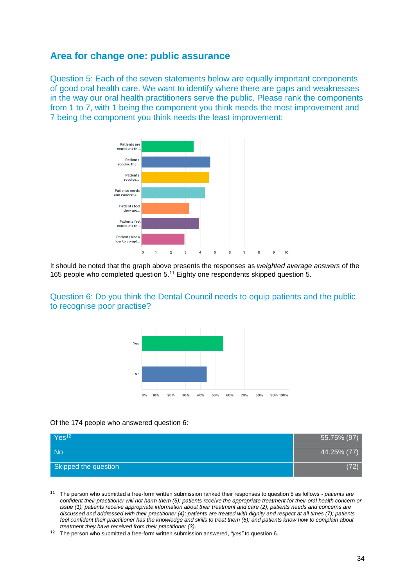## **Area for change one: public assurance**

Question 5: Each of the seven statements below are equally important components of good oral health care. We want to identify where there are gaps and weaknesses in the way our oral health practitioners serve the public. Please rank the components from 1 to 7, with 1 being the component you think needs the most improvement and 7 being the component you think needs the least improvement:



It should be noted that the graph above presents the responses as *weighted average answers* of the 165 people who completed question 5.<sup>11</sup> Eighty one respondents skipped question 5.





#### Of the 174 people who answered question 6:

| Yes <sup>12</sup>    | 55.75% (97) |
|----------------------|-------------|
| <b>No</b>            | 44.25% (77) |
| Skipped the question | (72)        |

<sup>11</sup> The person who submitted a free-form written submission ranked their responses to question 5 as follows - *patients are confident their practitioner will not harm them (5); patients receive the appropriate treatment for their oral health concern or issue (1); patients receive appropriate information about their treatment and care (2); patients needs and concerns are discussed and addressed with their practitioner (4); patients are treated with dignity and respect at all times (7); patients feel confident their practitioner has the knowledge and skills to treat them (6); and patients know how to complain about treatment they have received from their practitioner (3)*.

<sup>12</sup> The person who submitted a free-form written submission answered, *"yes"* to question 6.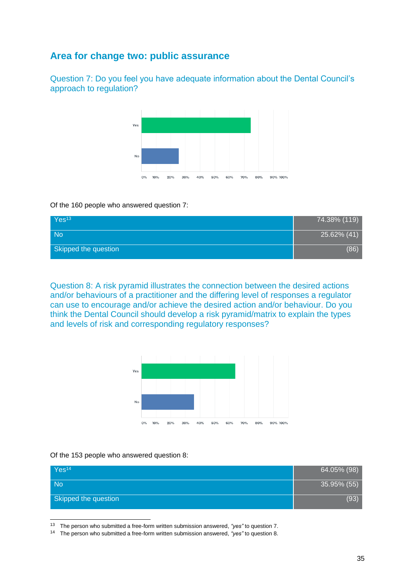# **Area for change two: public assurance**

Question 7: Do you feel you have adequate information about the Dental Council's approach to regulation?



#### Of the 160 people who answered question 7:

| Yes <sup>13</sup>    | $74.38\%$ (119) |
|----------------------|-----------------|
| <b>No</b>            | 25.62% (41)     |
| Skipped the question | (86)            |

Question 8: A risk pyramid illustrates the connection between the desired actions and/or behaviours of a practitioner and the differing level of responses a regulator can use to encourage and/or achieve the desired action and/or behaviour. Do you think the Dental Council should develop a risk pyramid/matrix to explain the types and levels of risk and corresponding regulatory responses?



#### Of the 153 people who answered question 8:

| Yes <sup>14</sup>    | 64.05% (98) |
|----------------------|-------------|
| <b>No</b>            | 35.95% (55) |
| Skipped the question | (93)        |

<sup>13</sup> The person who submitted a free-form written submission answered, *"yes"* to question 7.

<sup>14</sup> The person who submitted a free-form written submission answered, *"yes"* to question 8.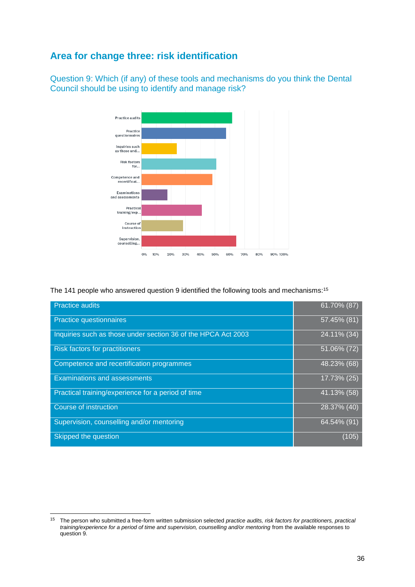# **Area for change three: risk identification**

Question 9: Which (if any) of these tools and mechanisms do you think the Dental Council should be using to identify and manage risk?



The 141 people who answered question 9 identified the following tools and mechanisms:<sup>15</sup>

| <b>Practice audits</b>                                        | $61.70\%$ (87) |
|---------------------------------------------------------------|----------------|
| <b>Practice questionnaires</b>                                | 57.45% (81)    |
| Inquiries such as those under section 36 of the HPCA Act 2003 | 24.11% (34)    |
| <b>Risk factors for practitioners</b>                         | 51.06% (72)    |
| Competence and recertification programmes                     | 48.23% (68)    |
| <b>Examinations and assessments</b>                           | $17.73\%$ (25) |
| Practical training/experience for a period of time            | 41.13% (58)    |
| Course of instruction                                         | 28.37% (40)    |
| Supervision, counselling and/or mentoring                     | 64.54% (91)    |
| Skipped the question                                          | (105)          |

<sup>15</sup> The person who submitted a free-form written submission selected *practice audits, risk factors for practitioners, practical*  training/experience for a period of time and supervision, counselling and/or mentoring from the available responses to question 9.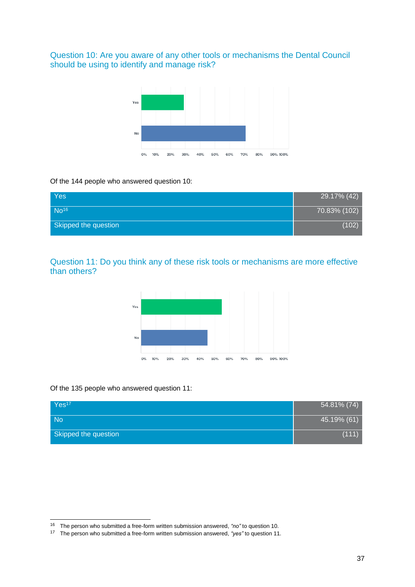Question 10: Are you aware of any other tools or mechanisms the Dental Council should be using to identify and manage risk?



Of the 144 people who answered question 10:

| Yes                  | 29.17% (42)  |
|----------------------|--------------|
| $No^{16}$            | 70.83% (102) |
| Skipped the question | (102)        |

Question 11: Do you think any of these risk tools or mechanisms are more effective than others?



Of the 135 people who answered question 11:

| Yes <sup>17</sup>    | 54.81% (74) |
|----------------------|-------------|
| <b>No</b>            | 45.19% (61) |
| Skipped the question | (111)       |

<sup>16</sup> The person who submitted a free-form written submission answered, *"no"* to question 10.

<sup>17</sup> The person who submitted a free-form written submission answered, *"yes"* to question 11.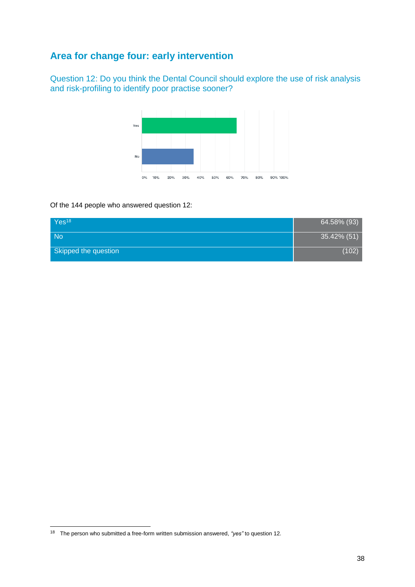# **Area for change four: early intervention**

Question 12: Do you think the Dental Council should explore the use of risk analysis and risk-profiling to identify poor practise sooner?



#### Of the 144 people who answered question 12:

| Yes <sup>18</sup>    | 64.58% (93) |
|----------------------|-------------|
| <b>No</b>            | 35.42% (51) |
| Skipped the question | (102)       |

<sup>18</sup> The person who submitted a free-form written submission answered, *"yes"* to question 12.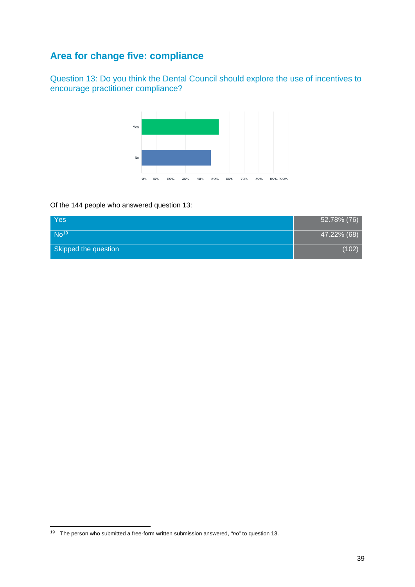# **Area for change five: compliance**

Question 13: Do you think the Dental Council should explore the use of incentives to encourage practitioner compliance?



#### Of the 144 people who answered question 13:

| Yes                  | 52.78% (76) |
|----------------------|-------------|
| No <sup>19</sup>     | 47.22% (68) |
| Skipped the question | (102)       |

<sup>19</sup> The person who submitted a free-form written submission answered, *"no"* to question 13.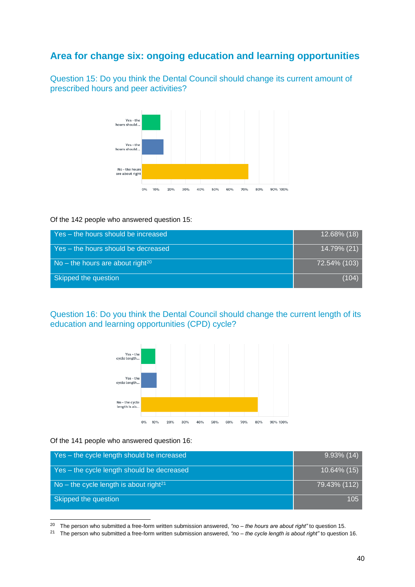# **Area for change six: ongoing education and learning opportunities**

Question 15: Do you think the Dental Council should change its current amount of prescribed hours and peer activities?



#### Of the 142 people who answered question 15:

| Yes - the hours should be increased          | $12.68\%$ (18) |
|----------------------------------------------|----------------|
| Yes – the hours should be decreased          | 14.79% (21)    |
| No – the hours are about right <sup>20</sup> | 72.54% (103)   |
| Skipped the question                         | (104)          |

Question 16: Do you think the Dental Council should change the current length of its education and learning opportunities (CPD) cycle?



Of the 141 people who answered question 16:

1

| Yes - the cycle length should be increased         | $9.93\%$ (14) |
|----------------------------------------------------|---------------|
| Yes - the cycle length should be decreased         | 10.64% (15)   |
| No – the cycle length is about right <sup>21</sup> | 79.43% (112)  |
| Skipped the question                               | 105           |

<sup>20</sup> The person who submitted a free-form written submission answered, *"no – the hours are about right"* to question 15.

<sup>21</sup> The person who submitted a free-form written submission answered, *"no – the cycle length is about right"* to question 16.